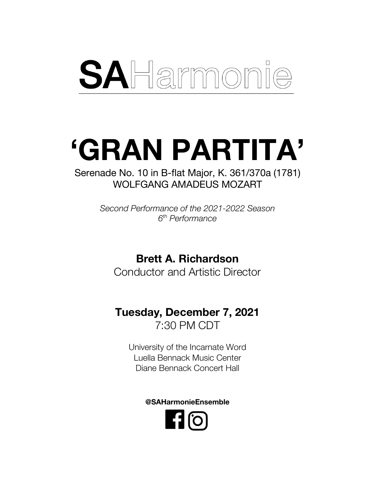# SAHarmonie

## **'GRAN PARTITA'**

Serenade No. 10 in B-flat Major, K. 361/370a (1781) WOLFGANG AMADEUS MOZART

> *Second Performance of the 2021-2022 Season 6th Performance*

> > **Brett A. Richardson**

Conductor and Artistic Director

### **Tuesday, December 7, 2021** 7:30 PM CDT

University of the Incarnate Word Luella Bennack Music Center Diane Bennack Concert Hall

**@SAHarmonieEnsemble**

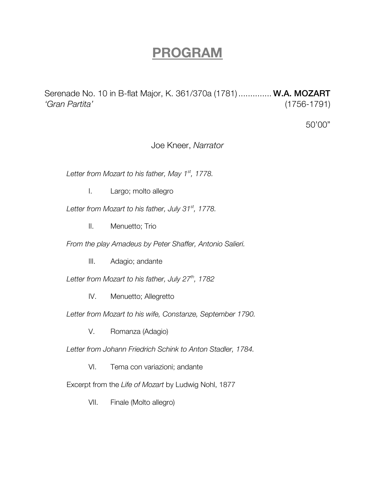## **PROGRAM**

Serenade No. 10 in B-flat Major, K. 361/370a (1781) .............. W.A. MOZART *'Gran Partita'* (1756-1791)

50'00"

Joe Kneer, *Narrator*

*Letter from Mozart to his father, May 1st, 1778.*

I. Largo; molto allegro

*Letter from Mozart to his father, July 31st, 1778.*

II. Menuetto; Trio

*From the play Amadeus by Peter Shaffer, Antonio Salieri.*

III. Adagio; andante

*Letter from Mozart to his father, July 27th, 1782*

IV. Menuetto; Allegretto

*Letter from Mozart to his wife, Constanze, September 1790.*

V. Romanza (Adagio)

*Letter from Johann Friedrich Schink to Anton Stadler, 1784.*

VI. Tema con variazioni; andante

Excerpt from the *Life of Mozart* by Ludwig Nohl, 1877

VII. Finale (Molto allegro)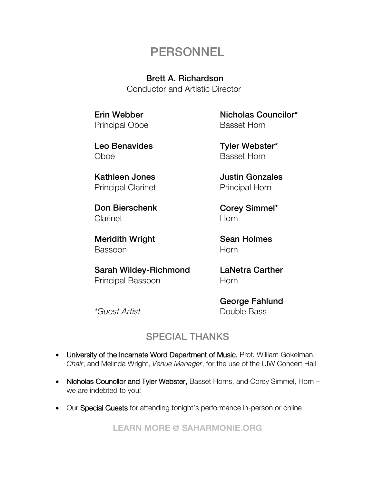## **PERSONNEL**

#### Brett A. Richardson

Conductor and Artistic Director

Erin Webber Principal Oboe

Leo Benavides Oboe

Kathleen Jones Principal Clarinet

Don Bierschenk **Clarinet** 

Meridith Wright Bassoon

*\*Guest Artist*

Sarah Wildey-Richmond Principal Bassoon

Nicholas Councilor\* Basset Horn

Tyler Webster\* Basset Horn

Justin Gonzales Principal Horn

Corey Simmel\* **Horn** 

Sean Holmes **Horn** 

LaNetra Carther Horn

George Fahlund Double Bass

#### SPECIAL THANKS

- University of the Incarnate Word Department of Music, Prof. William Gokelman, *Chair*, and Melinda Wright, *Venue Manager*, for the use of the UIW Concert Hall
- Nicholas Councilor and Tyler Webster, Basset Horns, and Corey Simmel, Horn we are indebted to you!
- Our Special Guests for attending tonight's performance in-person or online

**LEARN MORE @ SAHARMONIE.ORG**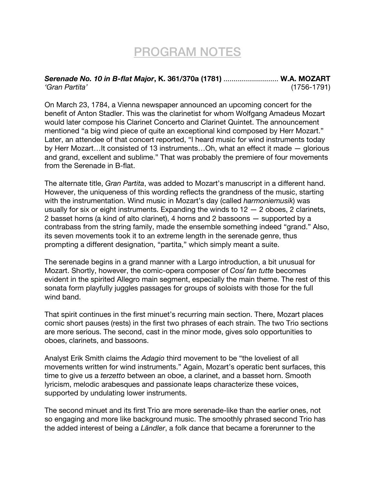## PROGRAM NOTES

#### *Serenade No. 10 in B-flat Major***, K. 361/370a (1781)** ........................... **W.A. MOZART** *'Gran Partita'* (1756-1791)

On March 23, 1784, a Vienna newspaper announced an upcoming concert for the benefit of Anton Stadler. This was the clarinetist for whom Wolfgang Amadeus Mozart would later compose his Clarinet Concerto and Clarinet Quintet. The announcement mentioned "a big wind piece of quite an exceptional kind composed by Herr Mozart." Later, an attendee of that concert reported, "I heard music for wind instruments today by Herr Mozart…It consisted of 13 instruments…Oh, what an effect it made — glorious and grand, excellent and sublime." That was probably the premiere of four movements from the Serenade in B-flat.

The alternate title, *Gran Partita*, was added to Mozart's manuscript in a different hand. However, the uniqueness of this wording reflects the grandness of the music, starting with the instrumentation. Wind music in Mozart's day (called *harmoniemusik*) was usually for six or eight instruments. Expanding the winds to  $12 - 2$  oboes, 2 clarinets, 2 basset horns (a kind of alto clarinet), 4 horns and 2 bassoons — supported by a contrabass from the string family, made the ensemble something indeed "grand." Also, its seven movements took it to an extreme length in the serenade genre, thus prompting a different designation, "partita," which simply meant a suite.

The serenade begins in a grand manner with a Largo introduction, a bit unusual for Mozart. Shortly, however, the comic-opera composer of *Cosí fan tutte* becomes evident in the spirited Allegro main segment, especially the main theme. The rest of this sonata form playfully juggles passages for groups of soloists with those for the full wind band.

That spirit continues in the first minuet's recurring main section. There, Mozart places comic short pauses (rests) in the first two phrases of each strain. The two Trio sections are more serious. The second, cast in the minor mode, gives solo opportunities to oboes, clarinets, and bassoons.

Analyst Erik Smith claims the *Adagio* third movement to be "the loveliest of all movements written for wind instruments." Again, Mozart's operatic bent surfaces, this time to give us a *terzetto* between an oboe, a clarinet, and a basset horn. Smooth lyricism, melodic arabesques and passionate leaps characterize these voices, supported by undulating lower instruments.

The second minuet and its first Trio are more serenade-like than the earlier ones, not so engaging and more like background music. The smoothly phrased second Trio has the added interest of being a *Ländler*, a folk dance that became a forerunner to the